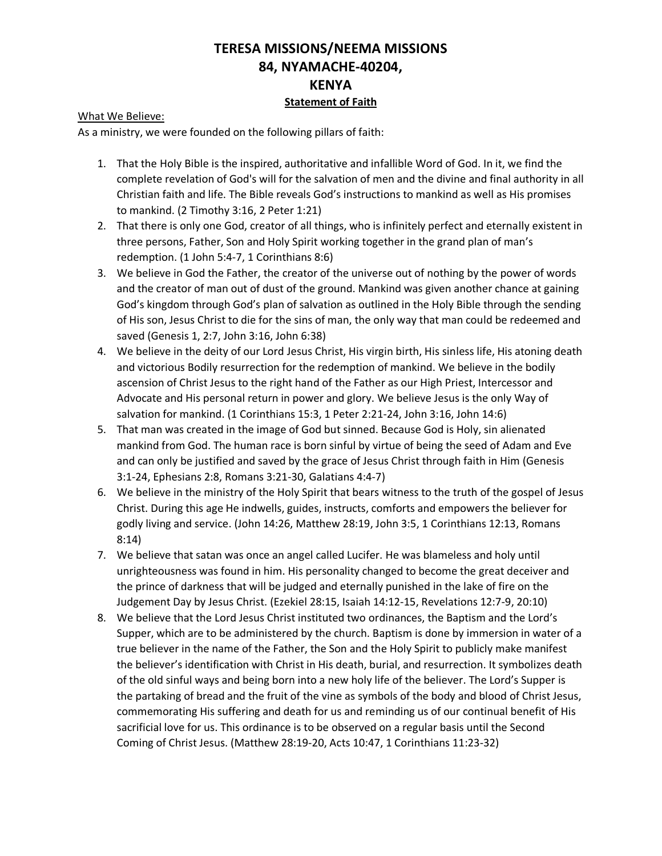## **TERESA MISSIONS/NEEMA MISSIONS 84, NYAMACHE-40204, KENYA Statement of Faith**

## What We Believe:

As a ministry, we were founded on the following pillars of faith:

- 1. That the Holy Bible is the inspired, authoritative and infallible Word of God. In it, we find the complete revelation of God's will for the salvation of men and the divine and final authority in all Christian faith and life. The Bible reveals God's instructions to mankind as well as His promises to mankind. (2 Timothy 3:16, 2 Peter 1:21)
- 2. That there is only one God, creator of all things, who is infinitely perfect and eternally existent in three persons, Father, Son and Holy Spirit working together in the grand plan of man's redemption. (1 John 5:4-7, 1 Corinthians 8:6)
- 3. We believe in God the Father, the creator of the universe out of nothing by the power of words and the creator of man out of dust of the ground. Mankind was given another chance at gaining God's kingdom through God's plan of salvation as outlined in the Holy Bible through the sending of His son, Jesus Christ to die for the sins of man, the only way that man could be redeemed and saved (Genesis 1, 2:7, John 3:16, John 6:38)
- 4. We believe in the deity of our Lord Jesus Christ, His virgin birth, His sinless life, His atoning death and victorious Bodily resurrection for the redemption of mankind. We believe in the bodily ascension of Christ Jesus to the right hand of the Father as our High Priest, Intercessor and Advocate and His personal return in power and glory. We believe Jesus is the only Way of salvation for mankind. (1 Corinthians 15:3, 1 Peter 2:21-24, John 3:16, John 14:6)
- 5. That man was created in the image of God but sinned. Because God is Holy, sin alienated mankind from God. The human race is born sinful by virtue of being the seed of Adam and Eve and can only be justified and saved by the grace of Jesus Christ through faith in Him (Genesis 3:1-24, Ephesians 2:8, Romans 3:21-30, Galatians 4:4-7)
- 6. We believe in the ministry of the Holy Spirit that bears witness to the truth of the gospel of Jesus Christ. During this age He indwells, guides, instructs, comforts and empowers the believer for godly living and service. (John 14:26, Matthew 28:19, John 3:5, 1 Corinthians 12:13, Romans 8:14)
- 7. We believe that satan was once an angel called Lucifer. He was blameless and holy until unrighteousness was found in him. His personality changed to become the great deceiver and the prince of darkness that will be judged and eternally punished in the lake of fire on the Judgement Day by Jesus Christ. (Ezekiel 28:15, Isaiah 14:12-15, Revelations 12:7-9, 20:10)
- 8. We believe that the Lord Jesus Christ instituted two ordinances, the Baptism and the Lord's Supper, which are to be administered by the church. Baptism is done by immersion in water of a true believer in the name of the Father, the Son and the Holy Spirit to publicly make manifest the believer's identification with Christ in His death, burial, and resurrection. It symbolizes death of the old sinful ways and being born into a new holy life of the believer. The Lord's Supper is the partaking of bread and the fruit of the vine as symbols of the body and blood of Christ Jesus, commemorating His suffering and death for us and reminding us of our continual benefit of His sacrificial love for us. This ordinance is to be observed on a regular basis until the Second Coming of Christ Jesus. (Matthew 28:19-20, Acts 10:47, 1 Corinthians 11:23-32)